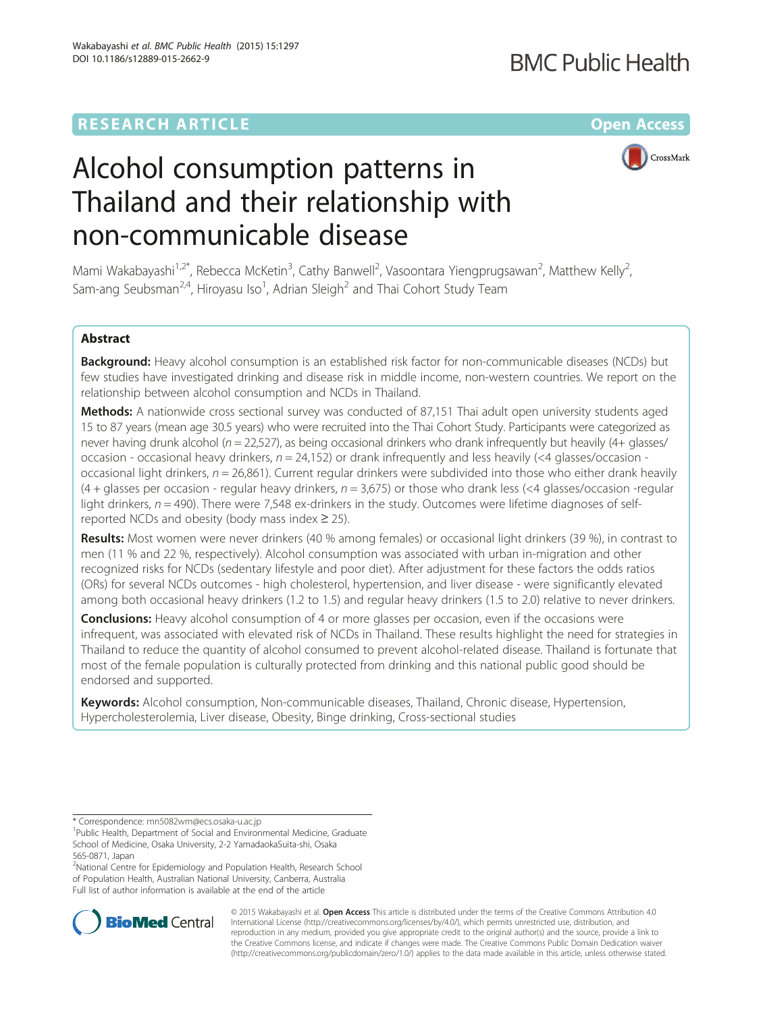### **RESEARCH ARTICLE Example 2014 12:30 The Community Community Community Community Community Community Community**

## **BMC Public Health**

CrossMark

# Alcohol consumption patterns in Thailand and their relationship with non-communicable disease

Mami Wakabayashi<sup>1,2\*</sup>, Rebecca McKetin<sup>3</sup>, Cathy Banwell<sup>2</sup>, Vasoontara Yiengprugsawan<sup>2</sup>, Matthew Kelly<sup>2</sup> , Sam-ang Seubsman<sup>2,4</sup>, Hiroyasu Iso<sup>1</sup>, Adrian Sleigh<sup>2</sup> and Thai Cohort Study Team

#### Abstract

Background: Heavy alcohol consumption is an established risk factor for non-communicable diseases (NCDs) but few studies have investigated drinking and disease risk in middle income, non-western countries. We report on the relationship between alcohol consumption and NCDs in Thailand.

Methods: A nationwide cross sectional survey was conducted of 87,151 Thai adult open university students aged 15 to 87 years (mean age 30.5 years) who were recruited into the Thai Cohort Study. Participants were categorized as never having drunk alcohol ( $n = 22,527$ ), as being occasional drinkers who drank infrequently but heavily (4+ glasses/ occasion - occasional heavy drinkers,  $n = 24,152$ ) or drank infrequently and less heavily (<4 glasses/occasion occasional light drinkers,  $n = 26,861$ ). Current regular drinkers were subdivided into those who either drank heavily  $(4 +$  glasses per occasion - regular heavy drinkers,  $n = 3,675$ ) or those who drank less (<4 glasses/occasion -regular light drinkers,  $n = 490$ ). There were 7,548 ex-drinkers in the study. Outcomes were lifetime diagnoses of selfreported NCDs and obesity (body mass index  $\geq$  25).

Results: Most women were never drinkers (40 % among females) or occasional light drinkers (39 %), in contrast to men (11 % and 22 %, respectively). Alcohol consumption was associated with urban in-migration and other recognized risks for NCDs (sedentary lifestyle and poor diet). After adjustment for these factors the odds ratios (ORs) for several NCDs outcomes - high cholesterol, hypertension, and liver disease - were significantly elevated among both occasional heavy drinkers (1.2 to 1.5) and regular heavy drinkers (1.5 to 2.0) relative to never drinkers.

**Conclusions:** Heavy alcohol consumption of 4 or more glasses per occasion, even if the occasions were infrequent, was associated with elevated risk of NCDs in Thailand. These results highlight the need for strategies in Thailand to reduce the quantity of alcohol consumed to prevent alcohol-related disease. Thailand is fortunate that most of the female population is culturally protected from drinking and this national public good should be endorsed and supported.

Keywords: Alcohol consumption, Non-communicable diseases, Thailand, Chronic disease, Hypertension, Hypercholesterolemia, Liver disease, Obesity, Binge drinking, Cross-sectional studies

<sup>2</sup>National Centre for Epidemiology and Population Health, Research School of Population Health, Australian National University, Canberra, Australia Full list of author information is available at the end of the article



© 2015 Wakabayashi et al. Open Access This article is distributed under the terms of the Creative Commons Attribution 4.0 International License [\(http://creativecommons.org/licenses/by/4.0/](http://creativecommons.org/licenses/by/4.0/)), which permits unrestricted use, distribution, and reproduction in any medium, provided you give appropriate credit to the original author(s) and the source, provide a link to the Creative Commons license, and indicate if changes were made. The Creative Commons Public Domain Dedication waiver [\(http://creativecommons.org/publicdomain/zero/1.0/](http://creativecommons.org/publicdomain/zero/1.0/)) applies to the data made available in this article, unless otherwise stated.

<sup>\*</sup> Correspondence: [mn5082wm@ecs.osaka-u.ac.jp](mailto:mn5082wm@ecs.osaka-u.ac.jp) <sup>1</sup>

<sup>&</sup>lt;sup>1</sup>Public Health, Department of Social and Environmental Medicine, Graduate School of Medicine, Osaka University, 2-2 YamadaokaSuita-shi, Osaka 565-0871, Japan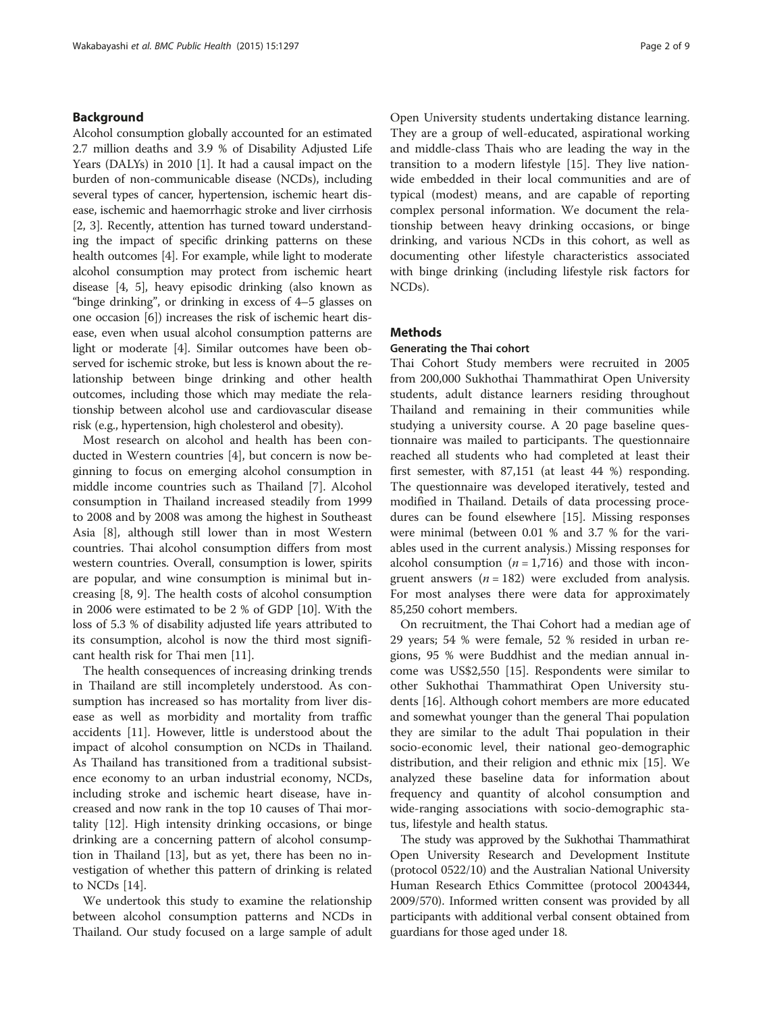#### <span id="page-1-0"></span>Background

Alcohol consumption globally accounted for an estimated 2.7 million deaths and 3.9 % of Disability Adjusted Life Years (DALYs) in 2010 [\[1](#page-8-0)]. It had a causal impact on the burden of non-communicable disease (NCDs), including several types of cancer, hypertension, ischemic heart disease, ischemic and haemorrhagic stroke and liver cirrhosis [[2, 3](#page-8-0)]. Recently, attention has turned toward understanding the impact of specific drinking patterns on these health outcomes [\[4\]](#page-8-0). For example, while light to moderate alcohol consumption may protect from ischemic heart disease [\[4, 5](#page-8-0)], heavy episodic drinking (also known as "binge drinking", or drinking in excess of 4–5 glasses on one occasion [\[6](#page-8-0)]) increases the risk of ischemic heart disease, even when usual alcohol consumption patterns are light or moderate [[4](#page-8-0)]. Similar outcomes have been observed for ischemic stroke, but less is known about the relationship between binge drinking and other health outcomes, including those which may mediate the relationship between alcohol use and cardiovascular disease risk (e.g., hypertension, high cholesterol and obesity).

Most research on alcohol and health has been conducted in Western countries [\[4\]](#page-8-0), but concern is now beginning to focus on emerging alcohol consumption in middle income countries such as Thailand [\[7](#page-8-0)]. Alcohol consumption in Thailand increased steadily from 1999 to 2008 and by 2008 was among the highest in Southeast Asia [[8\]](#page-8-0), although still lower than in most Western countries. Thai alcohol consumption differs from most western countries. Overall, consumption is lower, spirits are popular, and wine consumption is minimal but increasing [[8, 9](#page-8-0)]. The health costs of alcohol consumption in 2006 were estimated to be 2 % of GDP [\[10](#page-8-0)]. With the loss of 5.3 % of disability adjusted life years attributed to its consumption, alcohol is now the third most significant health risk for Thai men [\[11](#page-8-0)].

The health consequences of increasing drinking trends in Thailand are still incompletely understood. As consumption has increased so has mortality from liver disease as well as morbidity and mortality from traffic accidents [\[11](#page-8-0)]. However, little is understood about the impact of alcohol consumption on NCDs in Thailand. As Thailand has transitioned from a traditional subsistence economy to an urban industrial economy, NCDs, including stroke and ischemic heart disease, have increased and now rank in the top 10 causes of Thai mortality [[12\]](#page-8-0). High intensity drinking occasions, or binge drinking are a concerning pattern of alcohol consumption in Thailand [\[13\]](#page-8-0), but as yet, there has been no investigation of whether this pattern of drinking is related to NCDs [\[14](#page-8-0)].

We undertook this study to examine the relationship between alcohol consumption patterns and NCDs in Thailand. Our study focused on a large sample of adult

Open University students undertaking distance learning. They are a group of well-educated, aspirational working and middle-class Thais who are leading the way in the transition to a modern lifestyle [\[15](#page-8-0)]. They live nationwide embedded in their local communities and are of typical (modest) means, and are capable of reporting complex personal information. We document the relationship between heavy drinking occasions, or binge drinking, and various NCDs in this cohort, as well as documenting other lifestyle characteristics associated with binge drinking (including lifestyle risk factors for NCDs).

#### **Methods**

#### Generating the Thai cohort

Thai Cohort Study members were recruited in 2005 from 200,000 Sukhothai Thammathirat Open University students, adult distance learners residing throughout Thailand and remaining in their communities while studying a university course. A 20 page baseline questionnaire was mailed to participants. The questionnaire reached all students who had completed at least their first semester, with 87,151 (at least 44 %) responding. The questionnaire was developed iteratively, tested and modified in Thailand. Details of data processing procedures can be found elsewhere [\[15\]](#page-8-0). Missing responses were minimal (between 0.01 % and 3.7 % for the variables used in the current analysis.) Missing responses for alcohol consumption  $(n = 1,716)$  and those with incongruent answers ( $n = 182$ ) were excluded from analysis. For most analyses there were data for approximately 85,250 cohort members.

On recruitment, the Thai Cohort had a median age of 29 years; 54 % were female, 52 % resided in urban regions, 95 % were Buddhist and the median annual income was US\$2,550 [[15\]](#page-8-0). Respondents were similar to other Sukhothai Thammathirat Open University students [[16\]](#page-8-0). Although cohort members are more educated and somewhat younger than the general Thai population they are similar to the adult Thai population in their socio-economic level, their national geo-demographic distribution, and their religion and ethnic mix [\[15](#page-8-0)]. We analyzed these baseline data for information about frequency and quantity of alcohol consumption and wide-ranging associations with socio-demographic status, lifestyle and health status.

The study was approved by the Sukhothai Thammathirat Open University Research and Development Institute (protocol 0522/10) and the Australian National University Human Research Ethics Committee (protocol 2004344, 2009/570). Informed written consent was provided by all participants with additional verbal consent obtained from guardians for those aged under 18.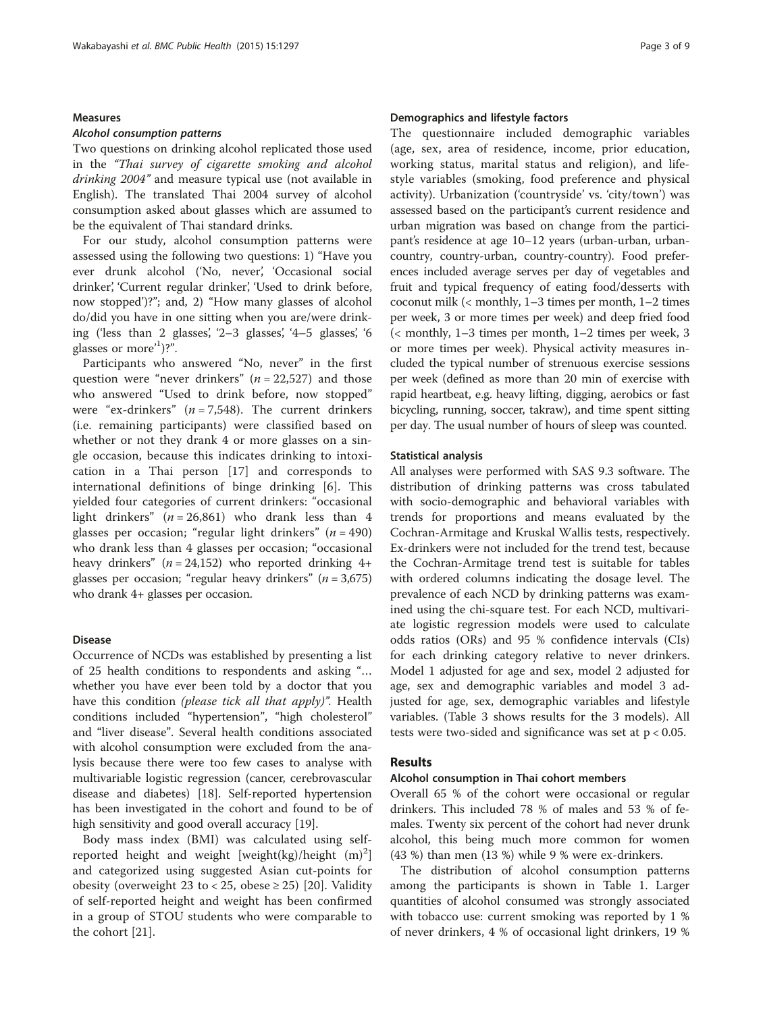#### Measures

#### Alcohol consumption patterns

Two questions on drinking alcohol replicated those used in the "Thai survey of cigarette smoking and alcohol drinking 2004" and measure typical use (not available in English). The translated Thai 2004 survey of alcohol consumption asked about glasses which are assumed to be the equivalent of Thai standard drinks.

For our study, alcohol consumption patterns were assessed using the following two questions: 1) "Have you ever drunk alcohol ('No, never', 'Occasional social drinker', 'Current regular drinker', 'Used to drink before, now stopped')?"; and, 2) "How many glasses of alcohol do/did you have in one sitting when you are/were drinking ('less than 2 glasses', '2–3 glasses', '4–5 glasses', '6 glasses or more'<sup>1</sup>)?".

Participants who answered "No, never" in the first question were "never drinkers" ( $n = 22,527$ ) and those who answered "Used to drink before, now stopped" were "ex-drinkers"  $(n = 7,548)$ . The current drinkers (i.e. remaining participants) were classified based on whether or not they drank 4 or more glasses on a single occasion, because this indicates drinking to intoxication in a Thai person [[17](#page-8-0)] and corresponds to international definitions of binge drinking [\[6](#page-8-0)]. This yielded four categories of current drinkers: "occasional light drinkers"  $(n = 26,861)$  who drank less than 4 glasses per occasion; "regular light drinkers" ( $n = 490$ ) who drank less than 4 glasses per occasion; "occasional heavy drinkers" ( $n = 24,152$ ) who reported drinking 4+ glasses per occasion; "regular heavy drinkers" ( $n = 3,675$ ) who drank 4+ glasses per occasion.

#### Disease

Occurrence of NCDs was established by presenting a list of 25 health conditions to respondents and asking "… whether you have ever been told by a doctor that you have this condition (please tick all that apply)". Health conditions included "hypertension", "high cholesterol" and "liver disease". Several health conditions associated with alcohol consumption were excluded from the analysis because there were too few cases to analyse with multivariable logistic regression (cancer, cerebrovascular disease and diabetes) [\[18](#page-8-0)]. Self-reported hypertension has been investigated in the cohort and found to be of high sensitivity and good overall accuracy [\[19](#page-8-0)].

Body mass index (BMI) was calculated using selfreported height and weight [weight(kg)/height  $(m)^2$ ] and categorized using suggested Asian cut-points for obesity (overweight 23 to < 25, obese  $\geq$  25) [\[20](#page-8-0)]. Validity of self-reported height and weight has been confirmed in a group of STOU students who were comparable to the cohort [[21\]](#page-8-0).

#### Demographics and lifestyle factors

The questionnaire included demographic variables (age, sex, area of residence, income, prior education, working status, marital status and religion), and lifestyle variables (smoking, food preference and physical activity). Urbanization ('countryside' vs. 'city/town') was assessed based on the participant's current residence and urban migration was based on change from the participant's residence at age 10–12 years (urban-urban, urbancountry, country-urban, country-country). Food preferences included average serves per day of vegetables and fruit and typical frequency of eating food/desserts with coconut milk (< monthly, 1–3 times per month, 1–2 times per week, 3 or more times per week) and deep fried food (< monthly, 1–3 times per month, 1–2 times per week, 3 or more times per week). Physical activity measures included the typical number of strenuous exercise sessions per week (defined as more than 20 min of exercise with rapid heartbeat, e.g. heavy lifting, digging, aerobics or fast bicycling, running, soccer, takraw), and time spent sitting per day. The usual number of hours of sleep was counted.

#### Statistical analysis

All analyses were performed with SAS 9.3 software. The distribution of drinking patterns was cross tabulated with socio-demographic and behavioral variables with trends for proportions and means evaluated by the Cochran-Armitage and Kruskal Wallis tests, respectively. Ex-drinkers were not included for the trend test, because the Cochran-Armitage trend test is suitable for tables with ordered columns indicating the dosage level. The prevalence of each NCD by drinking patterns was examined using the chi-square test. For each NCD, multivariate logistic regression models were used to calculate odds ratios (ORs) and 95 % confidence intervals (CIs) for each drinking category relative to never drinkers. Model 1 adjusted for age and sex, model 2 adjusted for age, sex and demographic variables and model 3 adjusted for age, sex, demographic variables and lifestyle variables. (Table [3](#page-6-0) shows results for the 3 models). All tests were two-sided and significance was set at p < 0.05.

#### Results

#### Alcohol consumption in Thai cohort members

Overall 65 % of the cohort were occasional or regular drinkers. This included 78 % of males and 53 % of females. Twenty six percent of the cohort had never drunk alcohol, this being much more common for women (43 %) than men (13 %) while 9 % were ex-drinkers.

The distribution of alcohol consumption patterns among the participants is shown in Table [1.](#page-3-0) Larger quantities of alcohol consumed was strongly associated with tobacco use: current smoking was reported by 1 % of never drinkers, 4 % of occasional light drinkers, 19 %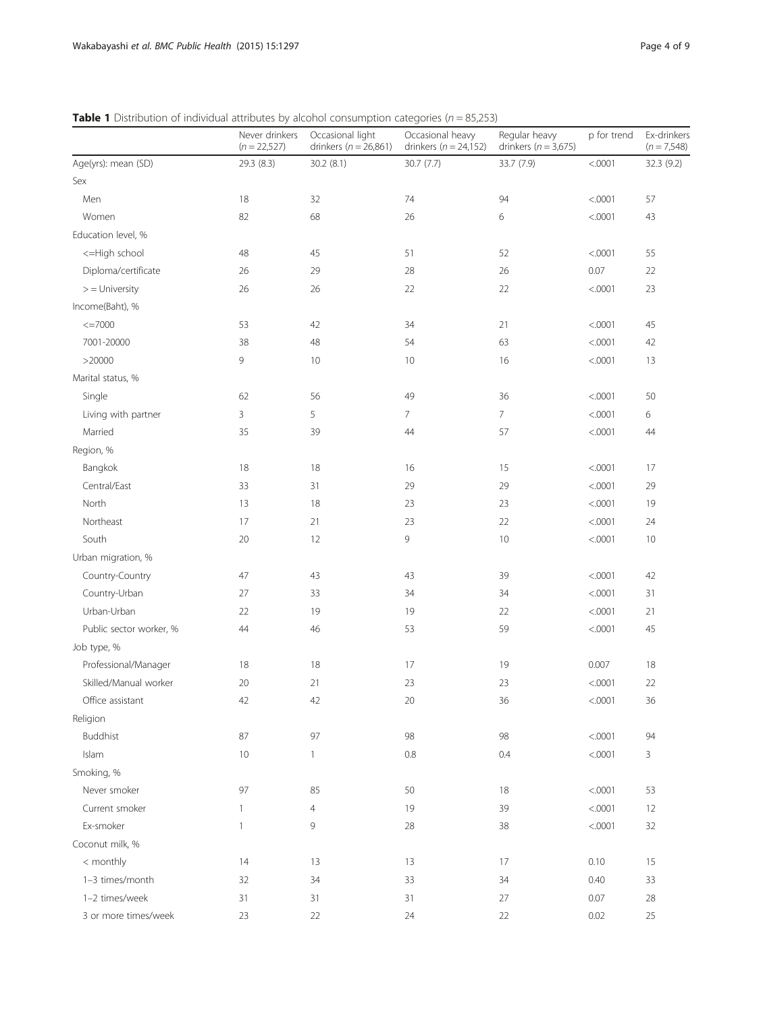<span id="page-3-0"></span>**Table 1** Distribution of individual attributes by alcohol consumption categories ( $n = 85,253$ )

|                         | Never drinkers<br>$(n = 22,527)$ | Occasional light<br>drinkers ( $n = 26,861$ ) | Occasional heavy<br>drinkers ( $n = 24,152$ ) | Regular heavy<br>drinkers ( $n = 3,675$ ) | p for trend | Ex-drinkers<br>$(n = 7,548)$ |
|-------------------------|----------------------------------|-----------------------------------------------|-----------------------------------------------|-------------------------------------------|-------------|------------------------------|
| Age(yrs): mean (SD)     | 29.3 (8.3)                       | 30.2 (8.1)                                    | 30.7 (7.7)                                    | 33.7 (7.9)                                | < .0001     | 32.3 (9.2)                   |
| Sex                     |                                  |                                               |                                               |                                           |             |                              |
| Men                     | 18                               | 32                                            | 74                                            | 94                                        | < .0001     | 57                           |
| Women                   | 82                               | 68                                            | 26                                            | 6                                         | < .0001     | 43                           |
| Education level, %      |                                  |                                               |                                               |                                           |             |                              |
| <= High school          | 48                               | 45                                            | 51                                            | 52                                        | < .0001     | 55                           |
| Diploma/certificate     | 26                               | 29                                            | 28                                            | 26                                        | 0.07        | 22                           |
| $>$ = University        | 26                               | 26                                            | 22                                            | 22                                        | < .0001     | 23                           |
| Income(Baht), %         |                                  |                                               |                                               |                                           |             |                              |
| $\leq$ =7000            | 53                               | 42                                            | 34                                            | 21                                        | < .0001     | 45                           |
| 7001-20000              | 38                               | 48                                            | 54                                            | 63                                        | < .0001     | 42                           |
| >20000                  | 9                                | $10$                                          | 10                                            | 16                                        | < .0001     | 13                           |
| Marital status, %       |                                  |                                               |                                               |                                           |             |                              |
| Single                  | 62                               | 56                                            | 49                                            | 36                                        | < .0001     | 50                           |
| Living with partner     | 3                                | 5                                             | 7                                             | $\overline{7}$                            | < .0001     | 6                            |
| Married                 | 35                               | 39                                            | 44                                            | 57                                        | < .0001     | 44                           |
| Region, %               |                                  |                                               |                                               |                                           |             |                              |
| Bangkok                 | 18                               | 18                                            | 16                                            | 15                                        | < .0001     | 17                           |
| Central/East            | 33                               | 31                                            | 29                                            | 29                                        | < .0001     | 29                           |
| North                   | 13                               | 18                                            | 23                                            | 23                                        | < .0001     | 19                           |
| Northeast               | 17                               | 21                                            | 23                                            | 22                                        | < .0001     | 24                           |
| South                   | 20                               | 12                                            | 9                                             | 10                                        | < .0001     | 10                           |
| Urban migration, %      |                                  |                                               |                                               |                                           |             |                              |
| Country-Country         | 47                               | 43                                            | 43                                            | 39                                        | < .0001     | 42                           |
| Country-Urban           | 27                               | 33                                            | 34                                            | 34                                        | < .0001     | 31                           |
| Urban-Urban             | 22                               | 19                                            | 19                                            | 22                                        | < .0001     | 21                           |
| Public sector worker, % | 44                               | 46                                            | 53                                            | 59                                        | < .0001     | 45                           |
| Job type, %             |                                  |                                               |                                               |                                           |             |                              |
| Professional/Manager    | 18                               | 18                                            | 17                                            | 19                                        | 0.007       | 18                           |
| Skilled/Manual worker   | 20                               | 21                                            | 23                                            | 23                                        | < .0001     | 22                           |
| Office assistant        | 42                               | 42                                            | $20\,$                                        | 36                                        | < .0001     | 36                           |
| Religion                |                                  |                                               |                                               |                                           |             |                              |
| <b>Buddhist</b>         | 87                               | 97                                            | 98                                            | 98                                        | < .0001     | 94                           |
| Islam                   | 10                               | $\mathbf{1}$                                  | $0.8\,$                                       | 0.4                                       | < .0001     | $\mathbf{3}$                 |
| Smoking, %              |                                  |                                               |                                               |                                           |             |                              |
| Never smoker            | 97                               | 85                                            | 50                                            | 18                                        | < .0001     | 53                           |
| Current smoker          | $\mathbf{1}$                     | $\overline{4}$                                | 19                                            | 39                                        | < .0001     | 12                           |
| Ex-smoker               | $\mathbf{1}$                     | 9                                             | 28                                            | 38                                        | < .0001     | 32                           |
| Coconut milk, %         |                                  |                                               |                                               |                                           |             |                              |
| < monthly               | 14                               | 13                                            | 13                                            | 17                                        | 0.10        | 15                           |
| 1-3 times/month         | 32                               | 34                                            | 33                                            | 34                                        | 0.40        | 33                           |
| 1-2 times/week          | 31                               | 31                                            | 31                                            | 27                                        | 0.07        | 28                           |
| 3 or more times/week    | 23                               | $22\,$                                        | 24                                            | 22                                        | 0.02        | 25                           |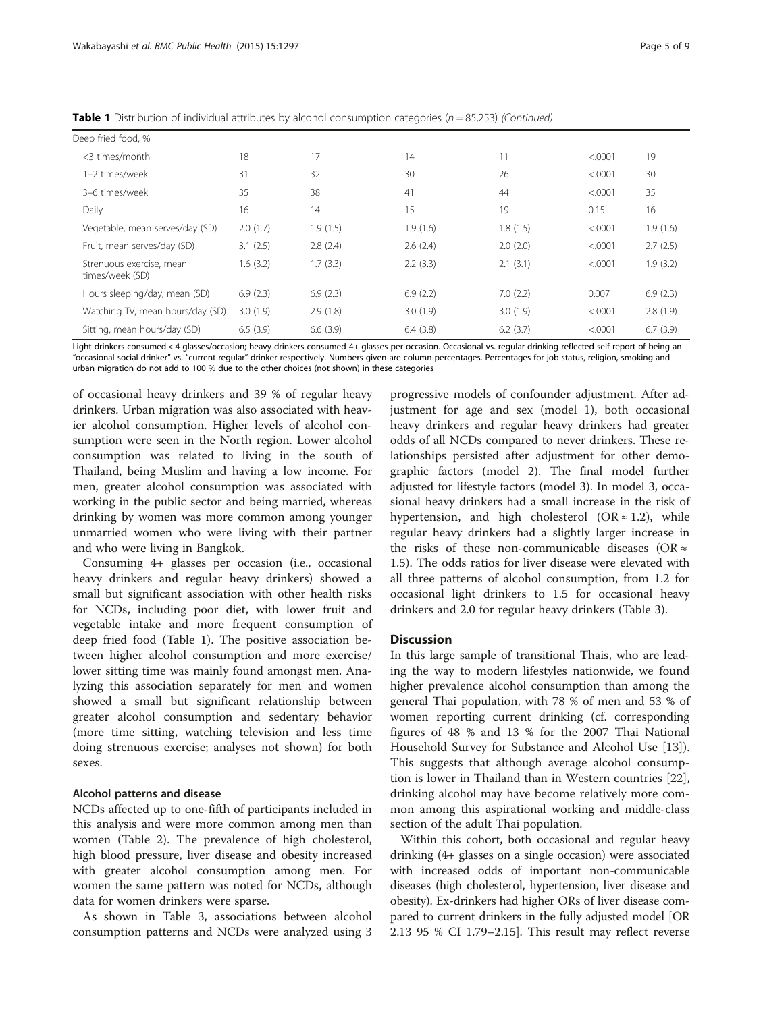| Deep fried food, %                          |          |          |          |          |          |          |
|---------------------------------------------|----------|----------|----------|----------|----------|----------|
| <3 times/month                              | 18       | 17       | 14       | 11       | < .0001  | 19       |
| 1-2 times/week                              | 31       | 32       | 30       | 26       | < .0001  | 30       |
| 3-6 times/week                              | 35       | 38       | 41       | 44       | < 0.0001 | 35       |
| Daily                                       | 16       | 14       | 15       | 19       | 0.15     | 16       |
| Vegetable, mean serves/day (SD)             | 2.0(1.7) | 1.9(1.5) | 1.9(1.6) | 1.8(1.5) | < .0001  | 1.9(1.6) |
| Fruit, mean serves/day (SD)                 | 3.1(2.5) | 2.8(2.4) | 2.6(2.4) | 2.0(2.0) | < .0001  | 2.7(2.5) |
| Strenuous exercise, mean<br>times/week (SD) | 1.6(3.2) | 1.7(3.3) | 2.2(3.3) | 2.1(3.1) | < .0001  | 1.9(3.2) |
| Hours sleeping/day, mean (SD)               | 6.9(2.3) | 6.9(2.3) | 6.9(2.2) | 7.0(2.2) | 0.007    | 6.9(2.3) |
| Watching TV, mean hours/day (SD)            | 3.0(1.9) | 2.9(1.8) | 3.0(1.9) | 3.0(1.9) | < .0001  | 2.8(1.9) |
| Sitting, mean hours/day (SD)                | 6.5(3.9) | 6.6(3.9) | 6.4(3.8) | 6.2(3.7) | < .0001  | 6.7(3.9) |

**Table 1** Distribution of individual attributes by alcohol consumption categories ( $n = 85,253$ ) (Continued)

Light drinkers consumed < 4 glasses/occasion; heavy drinkers consumed 4+ glasses per occasion. Occasional vs. regular drinking reflected self-report of being an "occasional social drinker" vs. "current regular" drinker respectively. Numbers given are column percentages. Percentages for job status, religion, smoking and urban migration do not add to 100 % due to the other choices (not shown) in these categories

of occasional heavy drinkers and 39 % of regular heavy drinkers. Urban migration was also associated with heavier alcohol consumption. Higher levels of alcohol consumption were seen in the North region. Lower alcohol consumption was related to living in the south of Thailand, being Muslim and having a low income. For men, greater alcohol consumption was associated with working in the public sector and being married, whereas drinking by women was more common among younger unmarried women who were living with their partner and who were living in Bangkok.

Consuming 4+ glasses per occasion (i.e., occasional heavy drinkers and regular heavy drinkers) showed a small but significant association with other health risks for NCDs, including poor diet, with lower fruit and vegetable intake and more frequent consumption of deep fried food (Table [1\)](#page-3-0). The positive association between higher alcohol consumption and more exercise/ lower sitting time was mainly found amongst men. Analyzing this association separately for men and women showed a small but significant relationship between greater alcohol consumption and sedentary behavior (more time sitting, watching television and less time doing strenuous exercise; analyses not shown) for both sexes.

#### Alcohol patterns and disease

NCDs affected up to one-fifth of participants included in this analysis and were more common among men than women (Table [2](#page-5-0)). The prevalence of high cholesterol, high blood pressure, liver disease and obesity increased with greater alcohol consumption among men. For women the same pattern was noted for NCDs, although data for women drinkers were sparse.

As shown in Table [3,](#page-6-0) associations between alcohol consumption patterns and NCDs were analyzed using 3

progressive models of confounder adjustment. After adjustment for age and sex (model 1), both occasional heavy drinkers and regular heavy drinkers had greater odds of all NCDs compared to never drinkers. These relationships persisted after adjustment for other demographic factors (model 2). The final model further adjusted for lifestyle factors (model 3). In model 3, occasional heavy drinkers had a small increase in the risk of hypertension, and high cholesterol (OR  $\approx$  1.2), while regular heavy drinkers had a slightly larger increase in the risks of these non-communicable diseases (OR  $\approx$ 1.5). The odds ratios for liver disease were elevated with all three patterns of alcohol consumption, from 1.2 for occasional light drinkers to 1.5 for occasional heavy drinkers and 2.0 for regular heavy drinkers (Table [3](#page-6-0)).

#### **Discussion**

In this large sample of transitional Thais, who are leading the way to modern lifestyles nationwide, we found higher prevalence alcohol consumption than among the general Thai population, with 78 % of men and 53 % of women reporting current drinking (cf. corresponding figures of 48 % and 13 % for the 2007 Thai National Household Survey for Substance and Alcohol Use [\[13](#page-8-0)]). This suggests that although average alcohol consumption is lower in Thailand than in Western countries [\[22](#page-8-0)], drinking alcohol may have become relatively more common among this aspirational working and middle-class section of the adult Thai population.

Within this cohort, both occasional and regular heavy drinking (4+ glasses on a single occasion) were associated with increased odds of important non-communicable diseases (high cholesterol, hypertension, liver disease and obesity). Ex-drinkers had higher ORs of liver disease compared to current drinkers in the fully adjusted model [OR 2.13 95 % CI 1.79–2.15]. This result may reflect reverse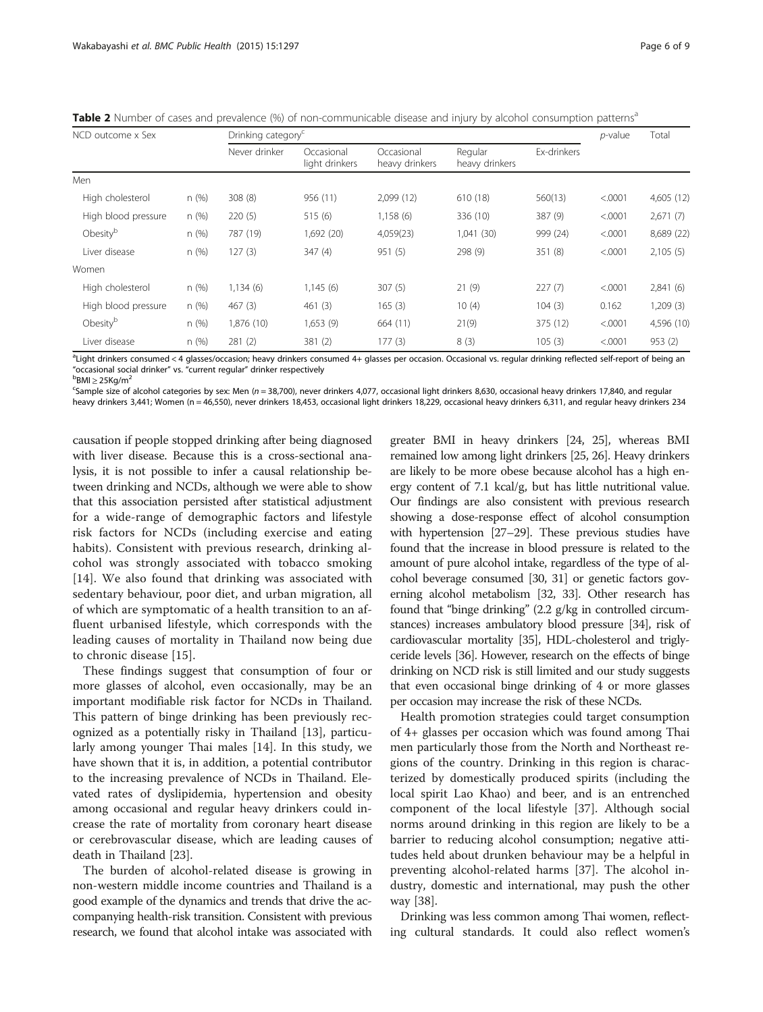| NCD outcome x Sex   |      | Drinking category | p-value                      | Total                        |                           |             |         |            |
|---------------------|------|-------------------|------------------------------|------------------------------|---------------------------|-------------|---------|------------|
|                     |      | Never drinker     | Occasional<br>light drinkers | Occasional<br>heavy drinkers | Regular<br>heavy drinkers | Ex-drinkers |         |            |
| <b>Men</b>          |      |                   |                              |                              |                           |             |         |            |
| High cholesterol    | n(%) | 308(8)            | 956 (11)                     | 2,099(12)                    | 610 (18)                  | 560(13)     | < .0001 | 4,605 (12) |
| High blood pressure | n(%) | 220(5)            | 515(6)                       | 1,158(6)                     | 336 (10)                  | 387 (9)     | < .0001 | 2,671(7)   |
| Obesityb            | n(%) | 787 (19)          | 1,692 (20)                   | 4,059(23)                    | 1,041 (30)                | 999 (24)    | < .0001 | 8,689 (22) |
| Liver disease       | n(%) | 127(3)            | 347(4)                       | 951(5)                       | 298 (9)                   | 351(8)      | < .0001 | 2,105(5)   |
| Women               |      |                   |                              |                              |                           |             |         |            |
| High cholesterol    | n(%) | 1,134(6)          | 1,145(6)                     | 307(5)                       | 21(9)                     | 227(7)      | < .0001 | 2,841(6)   |
| High blood pressure | n(%) | 467(3)            | 461(3)                       | 165(3)                       | 10(4)                     | 104(3)      | 0.162   | 1,209(3)   |
| Obesityb            | n(%) | 1,876 (10)        | 1,653 (9)                    | 664 (11)                     | 21(9)                     | 375 (12)    | < .0001 | 4,596 (10) |
| Liver disease       | n(%) | 281(2)            | 381(2)                       | 177(3)                       | 8(3)                      | 105(3)      | < .0001 | 953(2)     |
|                     |      |                   |                              |                              |                           |             |         |            |

<span id="page-5-0"></span>Table 2 Number of cases and prevalence (%) of non-communicable disease and injury by alcohol consumption patterns<sup>a</sup>

<sup>a</sup>Light drinkers consumed < 4 glasses/occasion; heavy drinkers consumed 4+ glasses per occasion. Occasional vs. regular drinking reflected self-report of being an "occasional social drinker" vs. "current regular" drinker respectively <sup>b</sup>  $\mathrm{^{b}BMl}$  > 25Kg/m<sup>2</sup>

Sample size of alcohol categories by sex: Men (n = 38,700), never drinkers 4,077, occasional light drinkers 8,630, occasional heavy drinkers 17,840, and regular

heavy drinkers 3,441; Women (n = 46,550), never drinkers 18,453, occasional light drinkers 18,229, occasional heavy drinkers 6,311, and regular heavy drinkers 234

causation if people stopped drinking after being diagnosed with liver disease. Because this is a cross-sectional analysis, it is not possible to infer a causal relationship between drinking and NCDs, although we were able to show that this association persisted after statistical adjustment for a wide-range of demographic factors and lifestyle risk factors for NCDs (including exercise and eating habits). Consistent with previous research, drinking alcohol was strongly associated with tobacco smoking [[14\]](#page-8-0). We also found that drinking was associated with sedentary behaviour, poor diet, and urban migration, all of which are symptomatic of a health transition to an affluent urbanised lifestyle, which corresponds with the leading causes of mortality in Thailand now being due to chronic disease [\[15](#page-8-0)].

These findings suggest that consumption of four or more glasses of alcohol, even occasionally, may be an important modifiable risk factor for NCDs in Thailand. This pattern of binge drinking has been previously recognized as a potentially risky in Thailand [\[13\]](#page-8-0), particularly among younger Thai males [\[14](#page-8-0)]. In this study, we have shown that it is, in addition, a potential contributor to the increasing prevalence of NCDs in Thailand. Elevated rates of dyslipidemia, hypertension and obesity among occasional and regular heavy drinkers could increase the rate of mortality from coronary heart disease or cerebrovascular disease, which are leading causes of death in Thailand [\[23](#page-8-0)].

The burden of alcohol-related disease is growing in non-western middle income countries and Thailand is a good example of the dynamics and trends that drive the accompanying health-risk transition. Consistent with previous research, we found that alcohol intake was associated with

greater BMI in heavy drinkers [\[24](#page-8-0), [25\]](#page-8-0), whereas BMI remained low among light drinkers [\[25, 26\]](#page-8-0). Heavy drinkers are likely to be more obese because alcohol has a high energy content of 7.1 kcal/g, but has little nutritional value. Our findings are also consistent with previous research showing a dose-response effect of alcohol consumption with hypertension [\[27](#page-8-0)–[29\]](#page-8-0). These previous studies have found that the increase in blood pressure is related to the amount of pure alcohol intake, regardless of the type of alcohol beverage consumed [[30](#page-8-0), [31](#page-8-0)] or genetic factors governing alcohol metabolism [\[32, 33\]](#page-8-0). Other research has found that "binge drinking" (2.2 g/kg in controlled circumstances) increases ambulatory blood pressure [\[34](#page-8-0)], risk of cardiovascular mortality [[35](#page-8-0)], HDL-cholesterol and triglyceride levels [\[36\]](#page-8-0). However, research on the effects of binge drinking on NCD risk is still limited and our study suggests that even occasional binge drinking of 4 or more glasses per occasion may increase the risk of these NCDs.

Health promotion strategies could target consumption of 4+ glasses per occasion which was found among Thai men particularly those from the North and Northeast regions of the country. Drinking in this region is characterized by domestically produced spirits (including the local spirit Lao Khao) and beer, and is an entrenched component of the local lifestyle [[37](#page-8-0)]. Although social norms around drinking in this region are likely to be a barrier to reducing alcohol consumption; negative attitudes held about drunken behaviour may be a helpful in preventing alcohol-related harms [[37\]](#page-8-0). The alcohol industry, domestic and international, may push the other way [\[38](#page-8-0)].

Drinking was less common among Thai women, reflecting cultural standards. It could also reflect women's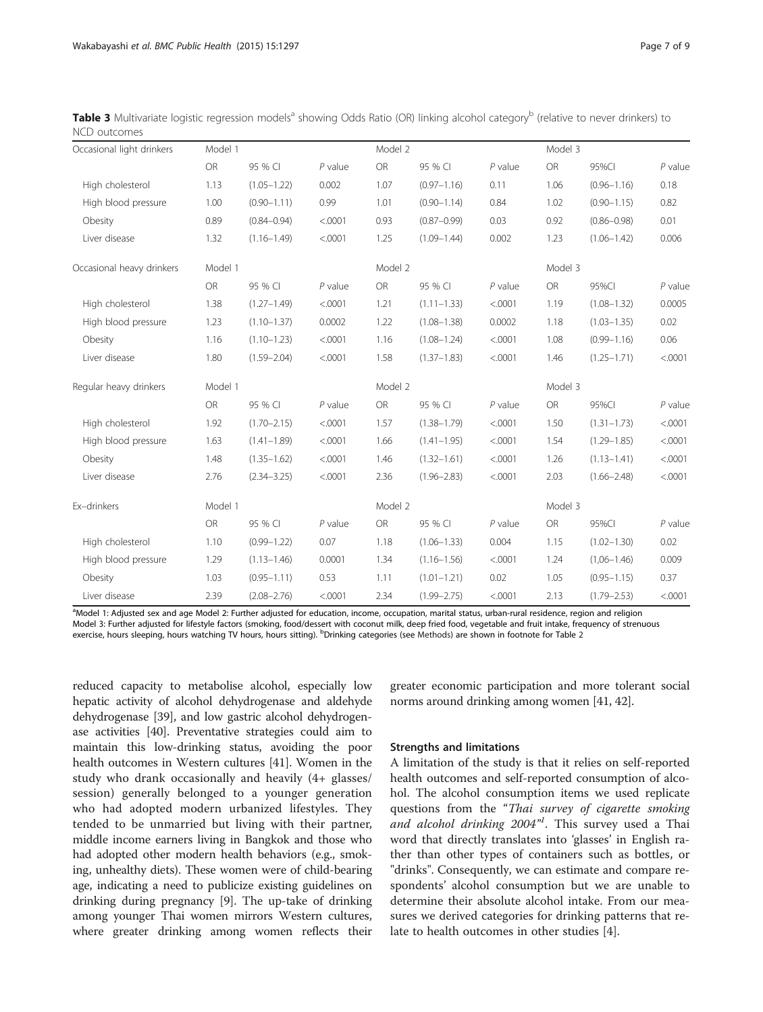| Occasional light drinkers | Model 1   |                 |           | Model 2   |                 |           | Model 3   |                 |           |
|---------------------------|-----------|-----------------|-----------|-----------|-----------------|-----------|-----------|-----------------|-----------|
|                           | <b>OR</b> | 95 % CI         | $P$ value | <b>OR</b> | 95 % CI         | $P$ value | <b>OR</b> | 95%CI           | $P$ value |
| High cholesterol          | 1.13      | $(1.05 - 1.22)$ | 0.002     | 1.07      | $(0.97 - 1.16)$ | 0.11      | 1.06      | $(0.96 - 1.16)$ | 0.18      |
| High blood pressure       | 1.00      | $(0.90 - 1.11)$ | 0.99      | 1.01      | $(0.90 - 1.14)$ | 0.84      | 1.02      | $(0.90 - 1.15)$ | 0.82      |
| Obesity                   | 0.89      | $(0.84 - 0.94)$ | < .0001   | 0.93      | $(0.87 - 0.99)$ | 0.03      | 0.92      | $(0.86 - 0.98)$ | 0.01      |
| Liver disease             | 1.32      | $(1.16 - 1.49)$ | < .0001   | 1.25      | $(1.09 - 1.44)$ | 0.002     | 1.23      | $(1.06 - 1.42)$ | 0.006     |
| Occasional heavy drinkers | Model 1   |                 |           | Model 2   |                 |           | Model 3   |                 |           |
|                           | <b>OR</b> | 95 % CI         | $P$ value | <b>OR</b> | 95 % CI         | $P$ value | <b>OR</b> | 95%CI           | $P$ value |
| High cholesterol          | 1.38      | $(1.27 - 1.49)$ | < .0001   | 1.21      | $(1.11 - 1.33)$ | < .0001   | 1.19      | $(1.08 - 1.32)$ | 0.0005    |
| High blood pressure       | 1.23      | $(1.10 - 1.37)$ | 0.0002    | 1.22      | $(1.08 - 1.38)$ | 0.0002    | 1.18      | $(1.03 - 1.35)$ | 0.02      |
| Obesity                   | 1.16      | $(1.10 - 1.23)$ | < .0001   | 1.16      | $(1.08 - 1.24)$ | < .0001   | 1.08      | $(0.99 - 1.16)$ | 0.06      |
| Liver disease             | 1.80      | $(1.59 - 2.04)$ | < .0001   | 1.58      | $(1.37 - 1.83)$ | < .0001   | 1.46      | $(1.25 - 1.71)$ | < .0001   |
| Regular heavy drinkers    | Model 1   |                 |           | Model 2   |                 |           | Model 3   |                 |           |
|                           | OR        | 95 % CI         | $P$ value | OR        | 95 % CI         | $P$ value | <b>OR</b> | 95%CI           | $P$ value |
| High cholesterol          | 1.92      | $(1.70 - 2.15)$ | < .0001   | 1.57      | $(1.38 - 1.79)$ | < .0001   | 1.50      | $(1.31 - 1.73)$ | < .0001   |
| High blood pressure       | 1.63      | $(1.41 - 1.89)$ | < .0001   | 1.66      | $(1.41 - 1.95)$ | < .0001   | 1.54      | $(1.29 - 1.85)$ | < .0001   |
| Obesity                   | 1.48      | $(1.35 - 1.62)$ | < .0001   | 1.46      | $(1.32 - 1.61)$ | < .0001   | 1.26      | $(1.13 - 1.41)$ | < .0001   |
| Liver disease             | 2.76      | $(2.34 - 3.25)$ | < .0001   | 2.36      | $(1.96 - 2.83)$ | < .0001   | 2.03      | $(1.66 - 2.48)$ | < .0001   |
| Ex-drinkers               | Model 1   |                 |           | Model 2   |                 |           | Model 3   |                 |           |
|                           | <b>OR</b> | 95 % CI         | $P$ value | OR        | 95 % CI         | $P$ value | <b>OR</b> | 95%CI           | $P$ value |
| High cholesterol          | 1.10      | $(0.99 - 1.22)$ | 0.07      | 1.18      | $(1.06 - 1.33)$ | 0.004     | 1.15      | $(1.02 - 1.30)$ | 0.02      |
| High blood pressure       | 1.29      | $(1.13 - 1.46)$ | 0.0001    | 1.34      | $(1.16 - 1.56)$ | < .0001   | 1.24      | $(1,06 - 1.46)$ | 0.009     |
| Obesity                   | 1.03      | $(0.95 - 1.11)$ | 0.53      | 1.11      | $(1.01 - 1.21)$ | 0.02      | 1.05      | $(0.95 - 1.15)$ | 0.37      |
| Liver disease             | 2.39      | $(2.08 - 2.76)$ | < .0001   | 2.34      | $(1.99 - 2.75)$ | < .0001   | 2.13      | $(1.79 - 2.53)$ | < .0001   |

<span id="page-6-0"></span>Table 3 Multivariate logistic regression models<sup>a</sup> showing Odds Ratio (OR) linking alcohol category<sup>b</sup> (relative to never drinkers) to NCD outcomes

a Model 1: Adjusted sex and age Model 2: Further adjusted for education, income, occupation, marital status, urban-rural residence, region and religion Model 3: Further adjusted for lifestyle factors (smoking, food/dessert with coconut milk, deep fried food, vegetable and fruit intake, frequency of strenuous exercise, hours sleeping, hours watching TV hours, hours sitting). <sup>b</sup>Drinking categories (see [Methods\)](#page-1-0) are shown in footnote for Table [2](#page-5-0)

reduced capacity to metabolise alcohol, especially low hepatic activity of alcohol dehydrogenase and aldehyde dehydrogenase [[39](#page-8-0)], and low gastric alcohol dehydrogenase activities [\[40](#page-8-0)]. Preventative strategies could aim to maintain this low-drinking status, avoiding the poor health outcomes in Western cultures [\[41\]](#page-8-0). Women in the study who drank occasionally and heavily (4+ glasses/ session) generally belonged to a younger generation who had adopted modern urbanized lifestyles. They tended to be unmarried but living with their partner, middle income earners living in Bangkok and those who had adopted other modern health behaviors (e.g., smoking, unhealthy diets). These women were of child-bearing age, indicating a need to publicize existing guidelines on drinking during pregnancy [[9](#page-8-0)]. The up-take of drinking among younger Thai women mirrors Western cultures, where greater drinking among women reflects their greater economic participation and more tolerant social norms around drinking among women [\[41, 42\]](#page-8-0).

#### Strengths and limitations

A limitation of the study is that it relies on self-reported health outcomes and self-reported consumption of alcohol. The alcohol consumption items we used replicate questions from the "Thai survey of cigarette smoking and alcohol drinking 2004"<sup>1</sup>. This survey used a Thai word that directly translates into 'glasses' in English rather than other types of containers such as bottles, or "drinks". Consequently, we can estimate and compare respondents' alcohol consumption but we are unable to determine their absolute alcohol intake. From our measures we derived categories for drinking patterns that relate to health outcomes in other studies [[4\]](#page-8-0).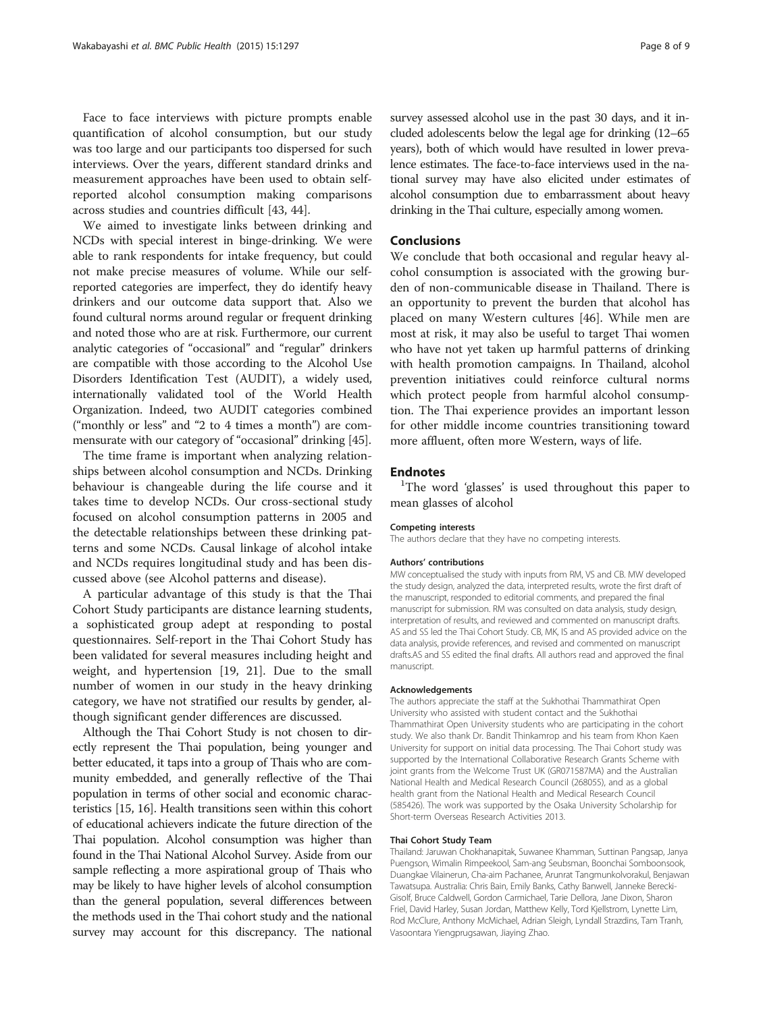Face to face interviews with picture prompts enable quantification of alcohol consumption, but our study was too large and our participants too dispersed for such interviews. Over the years, different standard drinks and measurement approaches have been used to obtain selfreported alcohol consumption making comparisons across studies and countries difficult [\[43](#page-8-0), [44](#page-8-0)].

We aimed to investigate links between drinking and NCDs with special interest in binge-drinking. We were able to rank respondents for intake frequency, but could not make precise measures of volume. While our selfreported categories are imperfect, they do identify heavy drinkers and our outcome data support that. Also we found cultural norms around regular or frequent drinking and noted those who are at risk. Furthermore, our current analytic categories of "occasional" and "regular" drinkers are compatible with those according to the Alcohol Use Disorders Identification Test (AUDIT), a widely used, internationally validated tool of the World Health Organization. Indeed, two AUDIT categories combined ("monthly or less" and "2 to 4 times a month") are commensurate with our category of "occasional" drinking [\[45\]](#page-8-0).

The time frame is important when analyzing relationships between alcohol consumption and NCDs. Drinking behaviour is changeable during the life course and it takes time to develop NCDs. Our cross-sectional study focused on alcohol consumption patterns in 2005 and the detectable relationships between these drinking patterns and some NCDs. Causal linkage of alcohol intake and NCDs requires longitudinal study and has been discussed above (see Alcohol patterns and disease).

A particular advantage of this study is that the Thai Cohort Study participants are distance learning students, a sophisticated group adept at responding to postal questionnaires. Self-report in the Thai Cohort Study has been validated for several measures including height and weight, and hypertension [[19](#page-8-0), [21](#page-8-0)]. Due to the small number of women in our study in the heavy drinking category, we have not stratified our results by gender, although significant gender differences are discussed.

Although the Thai Cohort Study is not chosen to directly represent the Thai population, being younger and better educated, it taps into a group of Thais who are community embedded, and generally reflective of the Thai population in terms of other social and economic characteristics [\[15, 16\]](#page-8-0). Health transitions seen within this cohort of educational achievers indicate the future direction of the Thai population. Alcohol consumption was higher than found in the Thai National Alcohol Survey. Aside from our sample reflecting a more aspirational group of Thais who may be likely to have higher levels of alcohol consumption than the general population, several differences between the methods used in the Thai cohort study and the national survey may account for this discrepancy. The national survey assessed alcohol use in the past 30 days, and it included adolescents below the legal age for drinking (12–65 years), both of which would have resulted in lower prevalence estimates. The face-to-face interviews used in the national survey may have also elicited under estimates of alcohol consumption due to embarrassment about heavy drinking in the Thai culture, especially among women.

#### Conclusions

We conclude that both occasional and regular heavy alcohol consumption is associated with the growing burden of non-communicable disease in Thailand. There is an opportunity to prevent the burden that alcohol has placed on many Western cultures [[46](#page-8-0)]. While men are most at risk, it may also be useful to target Thai women who have not yet taken up harmful patterns of drinking with health promotion campaigns. In Thailand, alcohol prevention initiatives could reinforce cultural norms which protect people from harmful alcohol consumption. The Thai experience provides an important lesson for other middle income countries transitioning toward more affluent, often more Western, ways of life.

#### **Endnotes**

<sup>1</sup>The word 'glasses' is used throughout this paper to mean glasses of alcohol

#### Competing interests

The authors declare that they have no competing interests.

#### Authors' contributions

MW conceptualised the study with inputs from RM, VS and CB. MW developed the study design, analyzed the data, interpreted results, wrote the first draft of the manuscript, responded to editorial comments, and prepared the final manuscript for submission. RM was consulted on data analysis, study design, interpretation of results, and reviewed and commented on manuscript drafts. AS and SS led the Thai Cohort Study. CB, MK, IS and AS provided advice on the data analysis, provide references, and revised and commented on manuscript drafts.AS and SS edited the final drafts. All authors read and approved the final manuscript.

#### Acknowledgements

The authors appreciate the staff at the Sukhothai Thammathirat Open University who assisted with student contact and the Sukhothai Thammathirat Open University students who are participating in the cohort study. We also thank Dr. Bandit Thinkamrop and his team from Khon Kaen University for support on initial data processing. The Thai Cohort study was supported by the International Collaborative Research Grants Scheme with joint grants from the Welcome Trust UK (GR071587MA) and the Australian National Health and Medical Research Council (268055), and as a global health grant from the National Health and Medical Research Council (585426). The work was supported by the Osaka University Scholarship for Short-term Overseas Research Activities 2013.

#### Thai Cohort Study Team

Thailand: Jaruwan Chokhanapitak, Suwanee Khamman, Suttinan Pangsap, Janya Puengson, Wimalin Rimpeekool, Sam-ang Seubsman, Boonchai Somboonsook, Duangkae Vilainerun, Cha-aim Pachanee, Arunrat Tangmunkolvorakul, Benjawan Tawatsupa. Australia: Chris Bain, Emily Banks, Cathy Banwell, Janneke Berecki-Gisolf, Bruce Caldwell, Gordon Carmichael, Tarie Dellora, Jane Dixon, Sharon Friel, David Harley, Susan Jordan, Matthew Kelly, Tord Kjellstrom, Lynette Lim, Rod McClure, Anthony McMichael, Adrian Sleigh, Lyndall Strazdins, Tam Tranh, Vasoontara Yiengprugsawan, Jiaying Zhao.